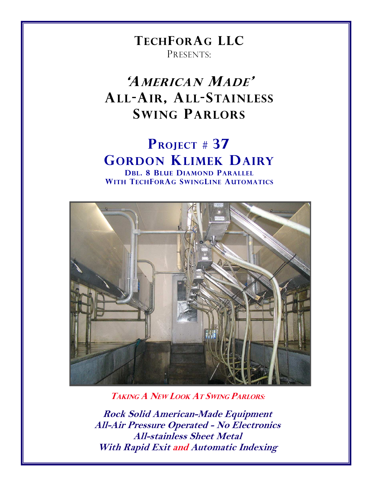# TECHFORAG LLC PRESENTS:

# 'AMERICAN MADE' ALL-AIR, ALL-STAINLESS SWING PARLORS

# PROJECT # 37 GORDON KLIMEK DAIRY

DBL. 8 BLUE DIAMOND PARALLEL WITH TECHFORAG SWINGLINE AUTOMATICS



TAKING A NEW LOOK AT SWING PARLORS:

Rock Solid American-Made Equipment All-Air Pressure Operated - No Electronics All-stainless Sheet Metal With Rapid Exit and Automatic Indexing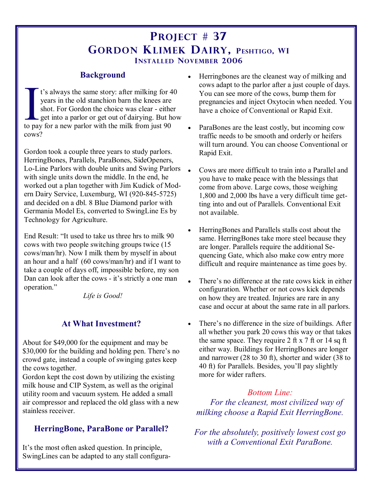## PROJECT # 37 GORDON KLIMEK DAIRY, PESHTIGO, WI INSTALLED NOVEMBER 2006

#### Background

I's always the same story: after milking for 4 years in the old stanchion barn the knees are shot. For Gordon the choice was clear - either get into a parlor or get out of dairying. But he holds are parlor with the milk fr t's always the same story: after milking for 40 years in the old stanchion barn the knees are shot. For Gordon the choice was clear - either get into a parlor or get out of dairying. But how cows?

Gordon took a couple three years to study parlors. HerringBones, Parallels, ParaBones, SideOpeners, Lo-Line Parlors with double units and Swing Parlors with single units down the middle. In the end, he worked out a plan together with Jim Kudick of Modern Dairy Service, Luxemburg, WI (920-845-5725) and decided on a dbl. 8 Blue Diamond parlor with Germania Model Es, converted to SwingLine Es by Technology for Agriculture.

End Result: "It used to take us three hrs to milk 90 cows with two people switching groups twice (15 cows/man/hr). Now I milk them by myself in about an hour and a half (60 cows/man/hr) and if I want to take a couple of days off, impossible before, my son Dan can look after the cows - it's strictly a one man operation."

Life is Good!

### At What Investment?

About for \$49,000 for the equipment and may be \$30,000 for the building and holding pen. There's no crowd gate, instead a couple of swinging gates keep the cows together.

Gordon kept the cost down by utilizing the existing milk house and CIP System, as well as the original utility room and vacuum system. He added a small air compressor and replaced the old glass with a new stainless receiver.

### HerringBone, ParaBone or Parallel?

It's the most often asked question. In principle, SwingLines can be adapted to any stall configura-

- Herringbones are the cleanest way of milking and cows adapt to the parlor after a just couple of days. You can see more of the cows, bump them for pregnancies and inject Oxytocin when needed. You have a choice of Conventional or Rapid Exit.
- ParaBones are the least costly, but incoming cow traffic needs to be smooth and orderly or heifers will turn around. You can choose Conventional or Rapid Exit.
- Cows are more difficult to train into a Parallel and you have to make peace with the blessings that come from above. Large cows, those weighing 1,800 and 2,000 lbs have a very difficult time getting into and out of Parallels. Conventional Exit not available.
- HerringBones and Parallels stalls cost about the same. HerringBones take more steel because they are longer. Parallels require the additional Sequencing Gate, which also make cow entry more difficult and require maintenance as time goes by.
- There's no difference at the rate cows kick in either configuration. Whether or not cows kick depends on how they are treated. Injuries are rare in any case and occur at about the same rate in all parlors.
- There's no difference in the size of buildings. After all whether you park 20 cows this way or that takes the same space. They require 2 ft x 7 ft or 14 sq ft either way. Buildings for HerringBones are longer and narrower (28 to 30 ft), shorter and wider (38 to 40 ft) for Parallels. Besides, you'll pay slightly more for wider rafters.

#### Bottom Line:

 For the cleanest, most civilized way of milking choose a Rapid Exit HerringBone.

For the absolutely, positively lowest cost go with a Conventional Exit ParaBone.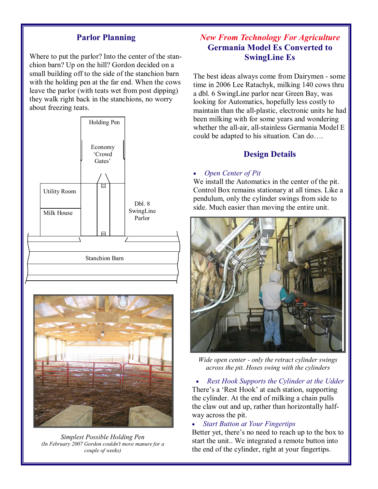#### Parlor Planning

Where to put the parlor? Into the center of the stanchion barn? Up on the hill? Gordon decided on a small building off to the side of the stanchion barn with the holding pen at the far end. When the cows leave the parlor (with teats wet from post dipping) they walk right back in the stanchions, no worry about freezing teats.





Simplest Possible Holding Pen (In February 2007 Gordon couldn't move manure for a couple of weeks)

### New From Technology For Agriculture Germania Model Es Converted to SwingLine Es

The best ideas always come from Dairymen - some time in 2006 Lee Ratachyk, milking 140 cows thru a dbl. 6 SwingLine parlor near Green Bay, was looking for Automatics, hopefully less costly to maintain than the all-plastic, electronic units he had been milking with for some years and wondering whether the all-air, all-stainless Germania Model E could be adapted to his situation. Can do….

#### Design Details

#### • Open Center of Pit

We install the Automatics in the center of the pit. Control Box remains stationary at all times. Like a pendulum, only the cylinder swings from side to side. Much easier than moving the entire unit.



Wide open center - only the retract cylinder swings across the pit. Hoses swing with the cylinders

• Rest Hook Supports the Cylinder at the Udder There's a 'Rest Hook' at each station, supporting the cylinder. At the end of milking a chain pulls the claw out and up, rather than horizontally halfway across the pit.

#### **Start Button at Your Fingertips**

Better yet, there's no need to reach up to the box to start the unit.. We integrated a remote button into the end of the cylinder, right at your fingertips.